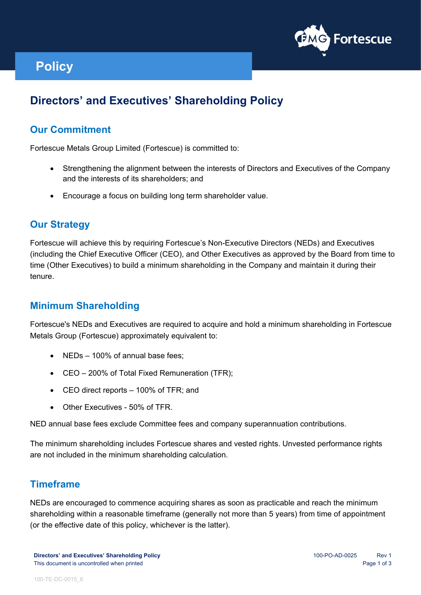

# **Policy**

# **Directors' and Executives' Shareholding Policy**

## **Our Commitment**

Fortescue Metals Group Limited (Fortescue) is committed to:

- Strengthening the alignment between the interests of Directors and Executives of the Company and the interests of its shareholders; and
- Encourage a focus on building long term shareholder value.

## **Our Strategy**

Fortescue will achieve this by requiring Fortescue's Non-Executive Directors (NEDs) and Executives (including the Chief Executive Officer (CEO), and Other Executives as approved by the Board from time to time (Other Executives) to build a minimum shareholding in the Company and maintain it during their tenure.

#### **Minimum Shareholding**

Fortescue's NEDs and Executives are required to acquire and hold a minimum shareholding in Fortescue Metals Group (Fortescue) approximately equivalent to:

- NEDs 100% of annual base fees;
- CEO 200% of Total Fixed Remuneration (TFR);
- CEO direct reports 100% of TFR; and
- Other Executives 50% of TFR

NED annual base fees exclude Committee fees and company superannuation contributions.

The minimum shareholding includes Fortescue shares and vested rights. Unvested performance rights are not included in the minimum shareholding calculation.

#### **Timeframe**

NEDs are encouraged to commence acquiring shares as soon as practicable and reach the minimum shareholding within a reasonable timeframe (generally not more than 5 years) from time of appointment (or the effective date of this policy, whichever is the latter).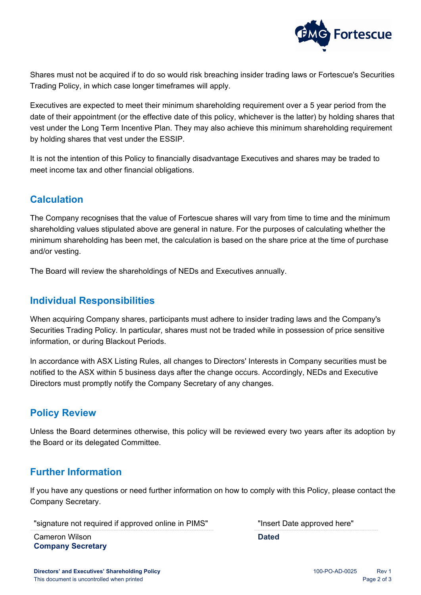

Shares must not be acquired if to do so would risk breaching insider trading laws or Fortescue's Securities Trading Policy, in which case longer timeframes will apply.

Executives are expected to meet their minimum shareholding requirement over a 5 year period from the date of their appointment (or the effective date of this policy, whichever is the latter) by holding shares that vest under the Long Term Incentive Plan. They may also achieve this minimum shareholding requirement by holding shares that vest under the ESSIP.

It is not the intention of this Policy to financially disadvantage Executives and shares may be traded to meet income tax and other financial obligations.

## **Calculation**

The Company recognises that the value of Fortescue shares will vary from time to time and the minimum shareholding values stipulated above are general in nature. For the purposes of calculating whether the minimum shareholding has been met, the calculation is based on the share price at the time of purchase and/or vesting.

The Board will review the shareholdings of NEDs and Executives annually.

## **Individual Responsibilities**

When acquiring Company shares, participants must adhere to insider trading laws and the Company's Securities Trading Policy. In particular, shares must not be traded while in possession of price sensitive information, or during Blackout Periods.

In accordance with ASX Listing Rules, all changes to Directors' Interests in Company securities must be notified to the ASX within 5 business days after the change occurs. Accordingly, NEDs and Executive Directors must promptly notify the Company Secretary of any changes.

#### **Policy Review**

Unless the Board determines otherwise, this policy will be reviewed every two years after its adoption by the Board or its delegated Committee.

## **Further Information**

If you have any questions or need further information on how to comply with this Policy, please contact the Company Secretary.

"signature not required if approved online in PIMS" "Insert Date approved here"

Cameron Wilson **Company Secretary**

**Dated**